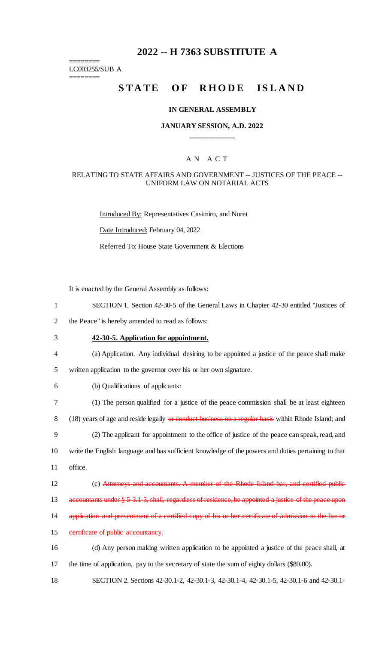# **2022 -- H 7363 SUBSTITUTE A**

LC003255/SUB A

 $=$ 

========

# **STATE OF RHODE ISLAND**

## **IN GENERAL ASSEMBLY**

## **JANUARY SESSION, A.D. 2022 \_\_\_\_\_\_\_\_\_\_\_\_**

## A N A C T

### RELATING TO STATE AFFAIRS AND GOVERNMENT -- JUSTICES OF THE PEACE -- UNIFORM LAW ON NOTARIAL ACTS

Introduced By: Representatives Casimiro, and Noret Date Introduced: February 04, 2022 Referred To: House State Government & Elections

It is enacted by the General Assembly as follows:

| $\mathbf{1}$   | SECTION 1. Section 42-30-5 of the General Laws in Chapter 42-30 entitled "Justices of                 |
|----------------|-------------------------------------------------------------------------------------------------------|
| $\overline{2}$ | the Peace" is hereby amended to read as follows:                                                      |
| 3              | 42-30-5. Application for appointment.                                                                 |
| $\overline{4}$ | (a) Application. Any individual desiring to be appointed a justice of the peace shall make            |
| 5              | written application to the governor over his or her own signature.                                    |
| 6              | (b) Qualifications of applicants:                                                                     |
| $\tau$         | (1) The person qualified for a justice of the peace commission shall be at least eighteen             |
| $8\,$          | (18) years of age and reside legally or conduct business on a regular basis within Rhode Island; and  |
| 9              | (2) The applicant for appointment to the office of justice of the peace can speak, read, and          |
| 10             | write the English language and has sufficient knowledge of the powers and duties pertaining to that   |
| 11             | office.                                                                                               |
| 12             | (c) Attorneys and accountants. A member of the Rhode Island bar, and certified public                 |
| 13             | accountants under § 5 3.1 5, shall, regardless of residence, be appointed a justice of the peace upon |
| 14             | application and presentment of a certified copy of his or her certificate of admission to the bar or  |
| 15             | certificate of public accountancy.                                                                    |
| 16             | (d) Any person making written application to be appointed a justice of the peace shall, at            |
| 17             | the time of application, pay to the secretary of state the sum of eighty dollars (\$80.00).           |
| 18             | SECTION 2. Sections 42-30.1-2, 42-30.1-3, 42-30.1-4, 42-30.1-5, 42-30.1-6 and 42-30.1-                |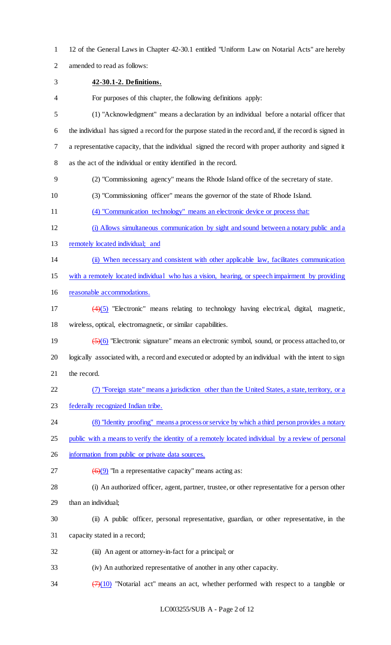- 12 of the General Laws in Chapter 42-30.1 entitled "Uniform Law on Notarial Acts" are hereby
- amended to read as follows:
- **42-30.1-2. Definitions.**
- For purposes of this chapter, the following definitions apply:
- (1) "Acknowledgment" means a declaration by an individual before a notarial officer that the individual has signed a record for the purpose stated in the record and, if the record is signed in a representative capacity, that the individual signed the record with proper authority and signed it as the act of the individual or entity identified in the record.
- (2) "Commissioning agency" means the Rhode Island office of the secretary of state.
- (3) "Commissioning officer" means the governor of the state of Rhode Island.
- (4) "Communication technology" means an electronic device or process that:
- (i) Allows simultaneous communication by sight and sound between a notary public and a
- 13 remotely located individual; and
- (ii) When necessary and consistent with other applicable law, facilitates communication
- with a remotely located individual who has a vision, hearing, or speech impairment by providing
- reasonable accommodations.
- (4)(5) "Electronic" means relating to technology having electrical, digital, magnetic, wireless, optical, electromagnetic, or similar capabilities.
- (5)(6) "Electronic signature" means an electronic symbol, sound, or process attached to, or logically associated with, a record and executed or adopted by an individual with the intent to sign the record.
- (7) "Foreign state" means a jurisdiction other than the United States, a state, territory, or a
- federally recognized Indian tribe.
- (8) "Identity proofing" means a process or service by which a third person provides a notary
- public with a means to verify the identity of a remotely located individual by a review of personal
- 26 information from public or private data sources.
- 27  $\left(\frac{6}{9}\right)$  "In a representative capacity" means acting as:
- (i) An authorized officer, agent, partner, trustee, or other representative for a person other than an individual;
- (ii) A public officer, personal representative, guardian, or other representative, in the
- capacity stated in a record;
- (iii) An agent or attorney-in-fact for a principal; or
- (iv) An authorized representative of another in any other capacity.
- 34  $\left(\frac{7}{(10)}\right)$  "Notarial act" means an act, whether performed with respect to a tangible or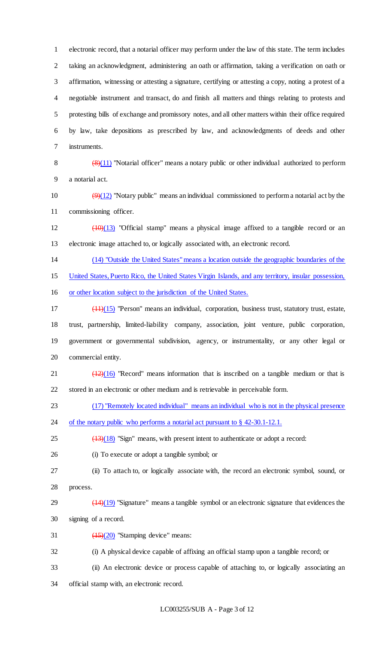electronic record, that a notarial officer may perform under the law of this state. The term includes taking an acknowledgment, administering an oath or affirmation, taking a verification on oath or affirmation, witnessing or attesting a signature, certifying or attesting a copy, noting a protest of a negotiable instrument and transact, do and finish all matters and things relating to protests and protesting bills of exchange and promissory notes, and all other matters within their office required by law, take depositions as prescribed by law, and acknowledgments of deeds and other instruments.

8  $\left(\frac{8}{11}\right)$  "Notarial officer" means a notary public or other individual authorized to perform a notarial act.

10  $(9)(12)$  "Notary public" means an individual commissioned to perform a notarial act by the commissioning officer.

 $12 \left(10\right)(13)$  "Official stamp" means a physical image affixed to a tangible record or an electronic image attached to, or logically associated with, an electronic record.

(14) "Outside the United States" means a location outside the geographic boundaries of the

United States, Puerto Rico, the United States Virgin Islands, and any territory, insular possession,

or other location subject to the jurisdiction of the United States.

 (11)(15) "Person" means an individual, corporation, business trust, statutory trust, estate, trust, partnership, limited-liability company, association, joint venture, public corporation, government or governmental subdivision, agency, or instrumentality, or any other legal or commercial entity.

21  $\left(\frac{(12)(16)}{2}\right)$  "Record" means information that is inscribed on a tangible medium or that is stored in an electronic or other medium and is retrievable in perceivable form.

(17) "Remotely located individual" means an individual who is not in the physical presence

24 of the notary public who performs a notarial act pursuant to § 42-30.1-12.1.

 $\left(\frac{13}{18}\right)$  "Sign" means, with present intent to authenticate or adopt a record:

(i) To execute or adopt a tangible symbol; or

(ii) To attach to, or logically associate with, the record an electronic symbol, sound, or

process.

 $(14)(19)$  "Signature" means a tangible symbol or an electronic signature that evidences the signing of a record.

31  $\left(\frac{(15)}{(20)}\right)$  "Stamping device" means:

(i) A physical device capable of affixing an official stamp upon a tangible record; or

(ii) An electronic device or process capable of attaching to, or logically associating an

official stamp with, an electronic record.

LC003255/SUB A - Page 3 of 12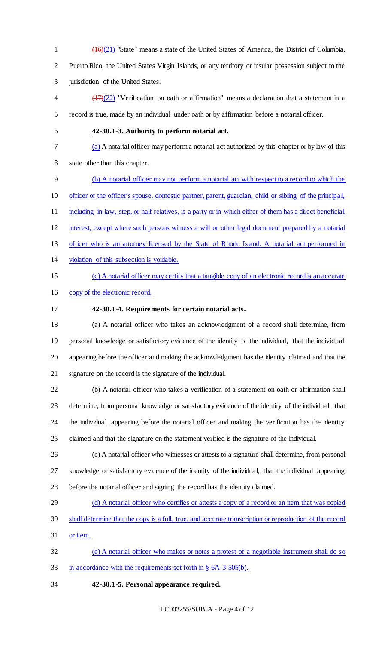(16)(21) "State" means a state of the United States of America, the District of Columbia, Puerto Rico, the United States Virgin Islands, or any territory or insular possession subject to the jurisdiction of the United States.

 $\frac{(17)(22)}{2}$  "Verification on oath or affirmation" means a declaration that a statement in a record is true, made by an individual under oath or by affirmation before a notarial officer.

## **42-30.1-3. Authority to perform notarial act.**

(a) A notarial officer may perform a notarial act authorized by this chapter or by law of this

state other than this chapter.

(b) A notarial officer may not perform a notarial act with respect to a record to which the

officer or the officer's spouse, domestic partner, parent, guardian, child or sibling of the principal,

11 including in-law, step, or half relatives, is a party or in which either of them has a direct beneficial

interest, except where such persons witness a will or other legal document prepared by a notarial

- officer who is an attorney licensed by the State of Rhode Island. A notarial act performed in
- violation of this subsection is voidable.
- 

# (c) A notarial officer may certify that a tangible copy of an electronic record is an accurate

- copy of the electronic record.
- **42-30.1-4. Requirements for certain notarial acts.**

 (a) A notarial officer who takes an acknowledgment of a record shall determine, from personal knowledge or satisfactory evidence of the identity of the individual, that the individual appearing before the officer and making the acknowledgment has the identity claimed and that the signature on the record is the signature of the individual.

 (b) A notarial officer who takes a verification of a statement on oath or affirmation shall determine, from personal knowledge or satisfactory evidence of the identity of the individual, that the individual appearing before the notarial officer and making the verification has the identity claimed and that the signature on the statement verified is the signature of the individual.

- (c) A notarial officer who witnesses or attests to a signature shall determine, from personal knowledge or satisfactory evidence of the identity of the individual, that the individual appearing before the notarial officer and signing the record has the identity claimed.
- 29 (d) A notarial officer who certifies or attests a copy of a record or an item that was copied
- shall determine that the copy is a full, true, and accurate transcription or reproduction of the record
- or item.

 (e) A notarial officer who makes or notes a protest of a negotiable instrument shall do so in accordance with the requirements set forth in § 6A-3-505(b).

# **42-30.1-5. Personal appearance required.**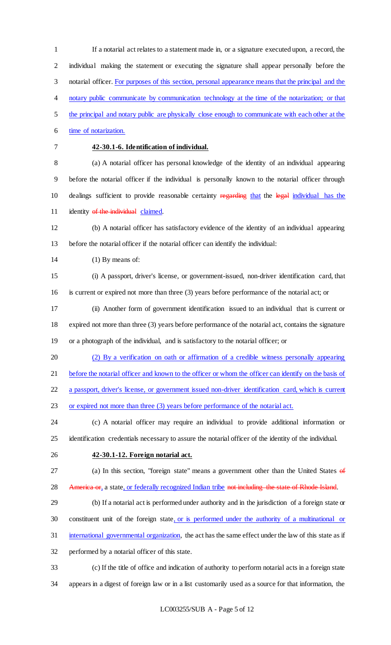If a notarial act relates to a statement made in, or a signature executed upon, a record, the individual making the statement or executing the signature shall appear personally before the 3 notarial officer. For purposes of this section, personal appearance means that the principal and the notary public communicate by communication technology at the time of the notarization; or that the principal and notary public are physically close enough to communicate with each other at the 6 time of notarization. **42-30.1-6. Identification of individual.** (a) A notarial officer has personal knowledge of the identity of an individual appearing before the notarial officer if the individual is personally known to the notarial officer through 10 dealings sufficient to provide reasonable certainty regarding that the legal individual has the 11 identity of the individual claimed. (b) A notarial officer has satisfactory evidence of the identity of an individual appearing before the notarial officer if the notarial officer can identify the individual: 14 (1) By means of: (i) A passport, driver's license, or government-issued, non-driver identification card, that is current or expired not more than three (3) years before performance of the notarial act; or (ii) Another form of government identification issued to an individual that is current or expired not more than three (3) years before performance of the notarial act, contains the signature or a photograph of the individual, and is satisfactory to the notarial officer; or (2) By a verification on oath or affirmation of a credible witness personally appearing before the notarial officer and known to the officer or whom the officer can identify on the basis of a passport, driver's license, or government issued non-driver identification card, which is current or expired not more than three (3) years before performance of the notarial act. (c) A notarial officer may require an individual to provide additional information or identification credentials necessary to assure the notarial officer of the identity of the individual. **42-30.1-12. Foreign notarial act.** (a) In this section, "foreign state" means a government other than the United States of 28 America or, a state, or federally recognized Indian tribe not including the state of Rhode Island. (b) If a notarial act is performed under authority and in the jurisdiction of a foreign state or 30 constituent unit of the foreign state, or is performed under the authority of a multinational or international governmental organization, the act has the same effect under the law of this state as if performed by a notarial officer of this state. (c) If the title of office and indication of authority to perform notarial acts in a foreign state appears in a digest of foreign law or in a list customarily used as a source for that information, the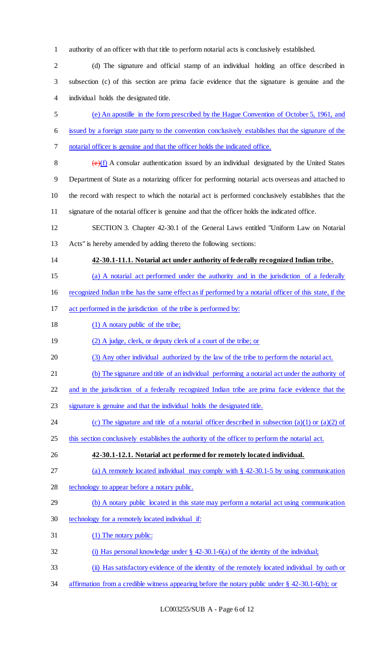authority of an officer with that title to perform notarial acts is conclusively established.

 (d) The signature and official stamp of an individual holding an office described in subsection (c) of this section are prima facie evidence that the signature is genuine and the individual holds the designated title.

 (e) An apostille in the form prescribed by the Hague Convention of October 5, 1961, and issued by a foreign state party to the convention conclusively establishes that the signature of the notarial officer is genuine and that the officer holds the indicated office.

 $(e)(f)$  A consular authentication issued by an individual designated by the United States Department of State as a notarizing officer for performing notarial acts overseas and attached to the record with respect to which the notarial act is performed conclusively establishes that the signature of the notarial officer is genuine and that the officer holds the indicated office.

 SECTION 3. Chapter 42-30.1 of the General Laws entitled "Uniform Law on Notarial Acts" is hereby amended by adding thereto the following sections:

**42-30.1-11.1. Notarial act under authority of federally recognized Indian tribe.** 

(a) A notarial act performed under the authority and in the jurisdiction of a federally

recognized Indian tribe has the same effect as if performed by a notarial officer of this state, if the

act performed in the jurisdiction of the tribe is performed by:

18 (1) A notary public of the tribe;

19 (2) A judge, clerk, or deputy clerk of a court of the tribe; or

(3) Any other individual authorized by the law of the tribe to perform the notarial act.

(b) The signature and title of an individual performing a notarial act under the authority of

and in the jurisdiction of a federally recognized Indian tribe are prima facie evidence that the

signature is genuine and that the individual holds the designated title.

24 (c) The signature and title of a notarial officer described in subsection (a)(1) or (a)(2) of

25 this section conclusively establishes the authority of the officer to perform the notarial act.

**42-30.1-12.1. Notarial act performed for remotely located individual.** 

(a) A remotely located individual may comply with § 42-30.1-5 by using communication

technology to appear before a notary public.

(b) A notary public located in this state may perform a notarial act using communication

technology for a remotely located individual if:

(1) The notary public:

(i) Has personal knowledge under § 42-30.1-6(a) of the identity of the individual;

(ii) Has satisfactory evidence of the identity of the remotely located individual by oath or

34 affirmation from a credible witness appearing before the notary public under § 42-30.1-6(b); or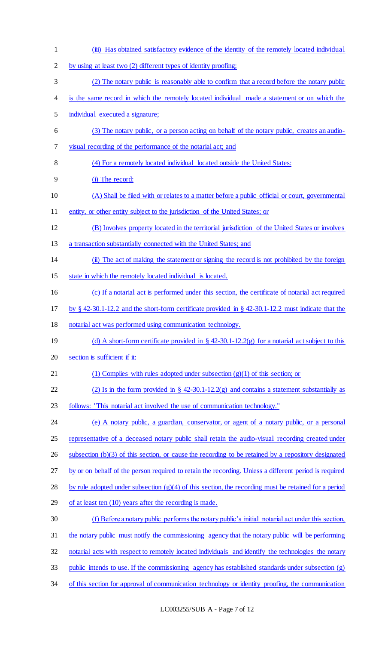(iii) Has obtained satisfactory evidence of the identity of the remotely located individual by using at least two (2) different types of identity proofing; (2) The notary public is reasonably able to confirm that a record before the notary public is the same record in which the remotely located individual made a statement or on which the individual executed a signature; (3) The notary public, or a person acting on behalf of the notary public, creates an audio- visual recording of the performance of the notarial act; and (4) For a remotely located individual located outside the United States: (i) The record: (A) Shall be filed with or relates to a matter before a public official or court, governmental 11 entity, or other entity subject to the jurisdiction of the United States; or (B) Involves property located in the territorial jurisdiction of the United States or involves a transaction substantially connected with the United States; and (ii) The act of making the statement or signing the record is not prohibited by the foreign state in which the remotely located individual is located. (c) If a notarial act is performed under this section, the certificate of notarial act required by § 42-30.1-12.2 and the short-form certificate provided in § 42-30.1-12.2 must indicate that the notarial act was performed using communication technology. 19 (d) A short-form certificate provided in § 42-30.1-12.2(g) for a notarial act subject to this section is sufficient if it: 21 (1) Complies with rules adopted under subsection  $(g)(1)$  of this section; or 22 (2) Is in the form provided in  $\S$  42-30.1-12.2(g) and contains a statement substantially as follows: "This notarial act involved the use of communication technology." (e) A notary public, a guardian, conservator, or agent of a notary public, or a personal 25 representative of a deceased notary public shall retain the audio-visual recording created under 26 subsection (b)(3) of this section, or cause the recording to be retained by a repository designated by or on behalf of the person required to retain the recording. Unless a different period is required by rule adopted under subsection (g)(4) of this section, the recording must be retained for a period 29 of at least ten (10) years after the recording is made. (f) Before a notary public performs the notary public's initial notarial act under this section, the notary public must notify the commissioning agency that the notary public will be performing notarial acts with respect to remotely located individuals and identify the technologies the notary public intends to use. If the commissioning agency has established standards under subsection (g) 34 of this section for approval of communication technology or identity proofing, the communication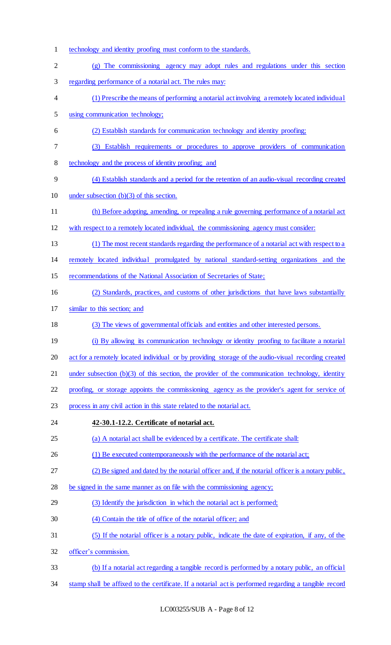technology and identity proofing must conform to the standards. (g) The commissioning agency may adopt rules and regulations under this section regarding performance of a notarial act. The rules may: (1) Prescribe the means of performing a notarial act involving a remotely located individual using communication technology; (2) Establish standards for communication technology and identity proofing; (3) Establish requirements or procedures to approve providers of communication technology and the process of identity proofing; and (4) Establish standards and a period for the retention of an audio-visual recording created under subsection (b)(3) of this section. (h) Before adopting, amending, or repealing a rule governing performance of a notarial act with respect to a remotely located individual, the commissioning agency must consider: (1) The most recent standards regarding the performance of a notarial act with respect to a remotely located individual promulgated by national standard-setting organizations and the 15 recommendations of the National Association of Secretaries of State; (2) Standards, practices, and customs of other jurisdictions that have laws substantially similar to this section; and (3) The views of governmental officials and entities and other interested persons. (i) By allowing its communication technology or identity proofing to facilitate a notarial act for a remotely located individual or by providing storage of the audio-visual recording created 21 under subsection (b)(3) of this section, the provider of the communication technology, identity proofing, or storage appoints the commissioning agency as the provider's agent for service of process in any civil action in this state related to the notarial act. **42-30.1-12.2. Certificate of notarial act.**  (a) A notarial act shall be evidenced by a certificate. The certificate shall: 26 (1) Be executed contemporaneously with the performance of the notarial act; (2) Be signed and dated by the notarial officer and, if the notarial officer is a notary public, be signed in the same manner as on file with the commissioning agency; (3) Identify the jurisdiction in which the notarial act is performed; (4) Contain the title of office of the notarial officer; and (5) If the notarial officer is a notary public, indicate the date of expiration, if any, of the officer's commission. (b) If a notarial act regarding a tangible record is performed by a notary public, an official stamp shall be affixed to the certificate. If a notarial act is performed regarding a tangible record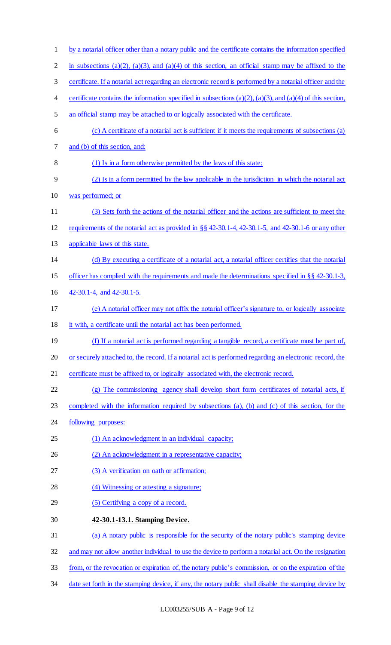| $\mathbf{1}$   | by a notarial officer other than a notary public and the certificate contains the information specified           |
|----------------|-------------------------------------------------------------------------------------------------------------------|
| $\overline{2}$ | in subsections (a)(2), (a)(3), and (a)(4) of this section, an official stamp may be affixed to the                |
| 3              | certificate. If a notarial act regarding an electronic record is performed by a notarial officer and the          |
| 4              | certificate contains the information specified in subsections $(a)(2)$ , $(a)(3)$ , and $(a)(4)$ of this section, |
| 5              | an official stamp may be attached to or logically associated with the certificate.                                |
| 6              | (c) A certificate of a notarial act is sufficient if it meets the requirements of subsections (a)                 |
| 7              | and (b) of this section, and:                                                                                     |
| 8              | (1) Is in a form otherwise permitted by the laws of this state;                                                   |
| 9              | (2) Is in a form permitted by the law applicable in the jurisdiction in which the notarial act                    |
| 10             | was performed; or                                                                                                 |
| 11             | (3) Sets forth the actions of the notarial officer and the actions are sufficient to meet the                     |
| 12             | requirements of the notarial act as provided in §§ 42-30.1-4, 42-30.1-5, and 42-30.1-6 or any other               |
| 13             | applicable laws of this state.                                                                                    |
| 14             | (d) By executing a certificate of a notarial act, a notarial officer certifies that the notarial                  |
| 15             | officer has complied with the requirements and made the determinations specified in $\S$ $\S$ 42-30.1-3,          |
| 16             | 42-30.1-4, and 42-30.1-5.                                                                                         |
| 17             | (e) A notarial officer may not affix the notarial officer's signature to, or logically associate                  |
| 18             | it with, a certificate until the notarial act has been performed.                                                 |
| 19             | (f) If a notarial act is performed regarding a tangible record, a certificate must be part of,                    |
| 20             | or securely attached to, the record. If a notarial act is performed regarding an electronic record, the           |
| 21             | certificate must be affixed to, or logically associated with, the electronic record.                              |
| 22             | (g) The commissioning agency shall develop short form certificates of notarial acts, if                           |
| 23             | completed with the information required by subsections (a), (b) and (c) of this section, for the                  |
| 24             | following purposes:                                                                                               |
| 25             | (1) An acknowledgment in an individual capacity;                                                                  |
| 26             | (2) An acknowledgment in a representative capacity;                                                               |
| 27             | (3) A verification on oath or affirmation;                                                                        |
| 28             | (4) Witnessing or attesting a signature;                                                                          |
| 29             | (5) Certifying a copy of a record.                                                                                |
| 30             | 42-30.1-13.1. Stamping Device.                                                                                    |
| 31             | (a) A notary public is responsible for the security of the notary public's stamping device                        |
| 32             | and may not allow another individual to use the device to perform a notarial act. On the resignation              |
| 33             | from, or the revocation or expiration of, the notary public's commission, or on the expiration of the             |
| 34             | date set forth in the stamping device, if any, the notary public shall disable the stamping device by             |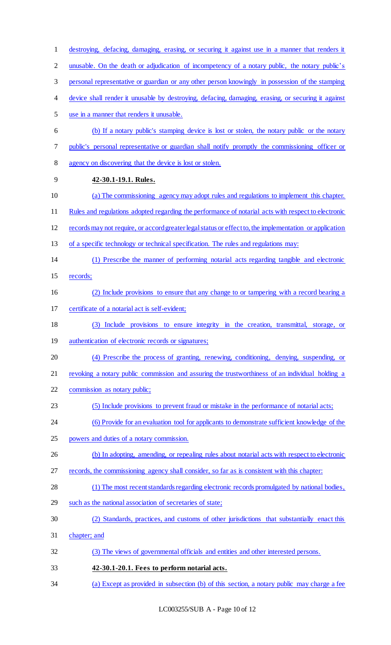destroying, defacing, damaging, erasing, or securing it against use in a manner that renders it 2 unusable. On the death or adjudication of incompetency of a notary public, the notary public's personal representative or guardian or any other person knowingly in possession of the stamping device shall render it unusable by destroying, defacing, damaging, erasing, or securing it against use in a manner that renders it unusable. (b) If a notary public's stamping device is lost or stolen, the notary public or the notary public's personal representative or guardian shall notify promptly the commissioning officer or agency on discovering that the device is lost or stolen. **42-30.1-19.1. Rules.**  (a) The commissioning agency may adopt rules and regulations to implement this chapter. Rules and regulations adopted regarding the performance of notarial acts with respect to electronic records may not require, or accord greater legal status or effect to, the implementation or application of a specific technology or technical specification. The rules and regulations may: (1) Prescribe the manner of performing notarial acts regarding tangible and electronic records; (2) Include provisions to ensure that any change to or tampering with a record bearing a certificate of a notarial act is self-evident; (3) Include provisions to ensure integrity in the creation, transmittal, storage, or 19 authentication of electronic records or signatures; (4) Prescribe the process of granting, renewing, conditioning, denying, suspending, or 21 revoking a notary public commission and assuring the trustworthiness of an individual holding a commission as notary public; (5) Include provisions to prevent fraud or mistake in the performance of notarial acts; (6) Provide for an evaluation tool for applicants to demonstrate sufficient knowledge of the powers and duties of a notary commission. 26 (b) In adopting, amending, or repealing rules about notarial acts with respect to electronic records, the commissioning agency shall consider, so far as is consistent with this chapter: (1) The most recent standards regarding electronic records promulgated by national bodies, such as the national association of secretaries of state; (2) Standards, practices, and customs of other jurisdictions that substantially enact this chapter; and (3) The views of governmental officials and entities and other interested persons. **42-30.1-20.1. Fees to perform notarial acts.**  (a) Except as provided in subsection (b) of this section, a notary public may charge a fee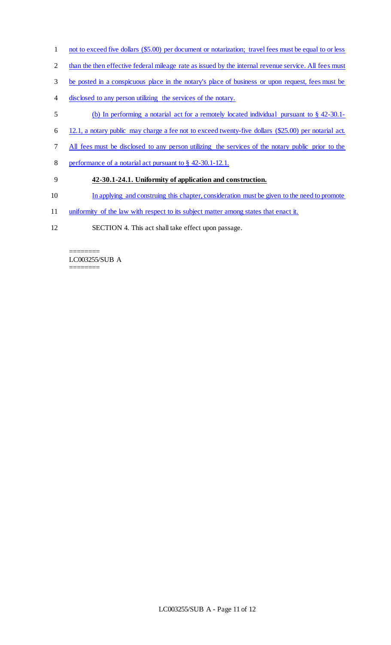- 1 not to exceed five dollars (\$5.00) per document or notarization; travel fees must be equal to or less
- 2 than the then effective federal mileage rate as issued by the internal revenue service. All fees must
- 3 be posted in a conspicuous place in the notary's place of business or upon request, fees must be
- 4 disclosed to any person utilizing the services of the notary.
- 5 (b) In performing a notarial act for a remotely located individual pursuant to § 42-30.1-
- 6 12.1, a notary public may charge a fee not to exceed twenty-five dollars (\$25.00) per notarial act.
- 7 All fees must be disclosed to any person utilizing the services of the notary public prior to the
- 8 performance of a notarial act pursuant to § 42-30.1-12.1.

## 9 **42-30.1-24.1. Uniformity of application and construction.**

- 10 In applying and construing this chapter, consideration must be given to the need to promote
- 11 uniformity of the law with respect to its subject matter among states that enact it.
- 12 SECTION 4. This act shall take effect upon passage.

======== LC003255/SUB A

========